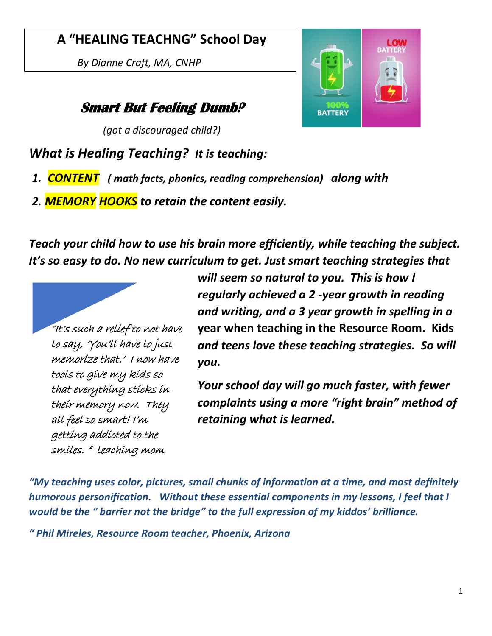# **A "HEALING TEACHNG" School Day**

 *By Dianne Craft, MA, CNHP*

# **Smart But Feeling Dumb?**

*(got a discouraged child?)*

*What is Healing Teaching? It is teaching:*

- *1. CONTENT ( math facts, phonics, reading comprehension) along with*
- *2. MEMORY HOOKS to retain the content easily.*

*Teach your child how to use his brain more efficiently, while teaching the subject. It's so easy to do. No new curriculum to get. Just smart teaching strategies that* 

"It's such a relief to not have to say, 'You'll have to just memorize that.' I now have tools to give my kids so that everything sticks in their memory now. They all feel so smart! I'm getting addicted to the smiles. " teaching mom

*will seem so natural to you. This is how I regularly achieved a 2 -year growth in reading and writing, and a 3 year growth in spelling in a*  **year when teaching in the Resource Room. Kids** *and teens love these teaching strategies. So will you.*

*Your school day will go much faster, with fewer complaints using a more "right brain" method of retaining what is learned.*

*"My teaching uses color, pictures, small chunks of information at a time, and most definitely humorous personification. Without these essential components in my lessons, I feel that I would be the " barrier not the bridge" to the full expression of my kiddos' brilliance.*

*" Phil Mireles, Resource Room teacher, Phoenix, Arizona*